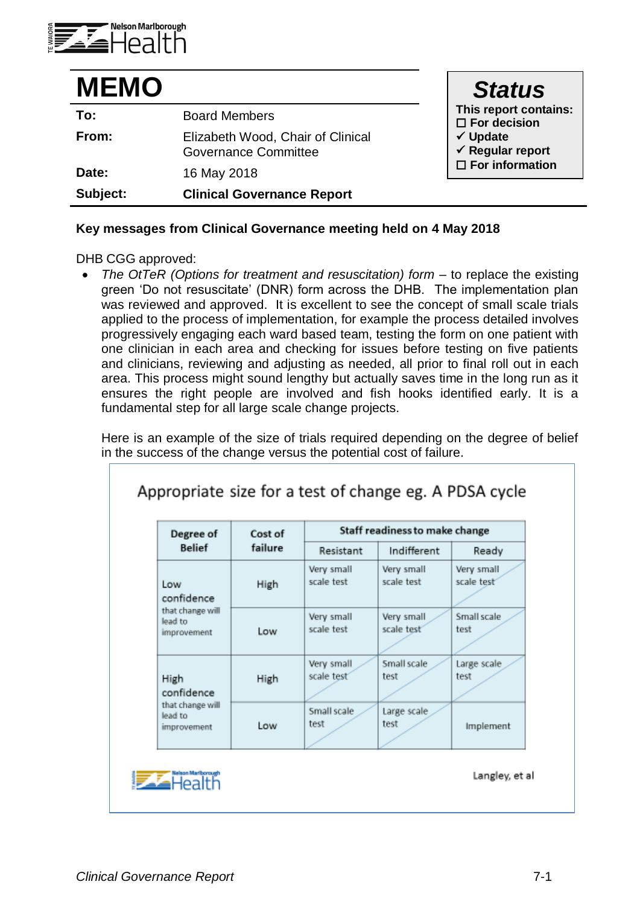

| <b>MEMO</b> |                                                                  | <b>Status</b>                                      |
|-------------|------------------------------------------------------------------|----------------------------------------------------|
| To:         | <b>Board Members</b>                                             | This report contains:<br>$\square$ For decision    |
| From:       | Elizabeth Wood, Chair of Clinical<br><b>Governance Committee</b> | $\checkmark$ Update<br>$\checkmark$ Regular report |
| Date:       | 16 May 2018                                                      | $\square$ For information                          |
| Subject:    | <b>Clinical Governance Report</b>                                |                                                    |

## **Key messages from Clinical Governance meeting held on 4 May 2018**

DHB CGG approved:

 *The OtTeR (Options for treatment and resuscitation) form –* to replace the existing green 'Do not resuscitate' (DNR) form across the DHB. The implementation plan was reviewed and approved. It is excellent to see the concept of small scale trials applied to the process of implementation, for example the process detailed involves progressively engaging each ward based team, testing the form on one patient with one clinician in each area and checking for issues before testing on five patients and clinicians, reviewing and adjusting as needed, all prior to final roll out in each area. This process might sound lengthy but actually saves time in the long run as it ensures the right people are involved and fish hooks identified early. It is a fundamental step for all large scale change projects.

Here is an example of the size of trials required depending on the degree of belief in the success of the change versus the potential cost of failure.

| Degree of                                                       | Cost of<br>failure | Staff readiness to make change |                          |                          |
|-----------------------------------------------------------------|--------------------|--------------------------------|--------------------------|--------------------------|
| <b>Belief</b>                                                   |                    | Resistant                      | Indifferent              | Ready                    |
| Low<br>confidence<br>that change will<br>lead to<br>improvement | High               | Very small<br>scale test       | Very small<br>scale test | Very small<br>scale test |
|                                                                 | Low                | Very small<br>scale test       | Very small<br>scale test | Small scale<br>test      |
| High<br>confidence                                              | High               | Very small<br>scale test       | Small scale<br>test      | Large scale<br>test      |
| that change will<br>lead to<br>improvement                      | Low                | Small scale<br>test            | Large scale<br>test      | Implement                |